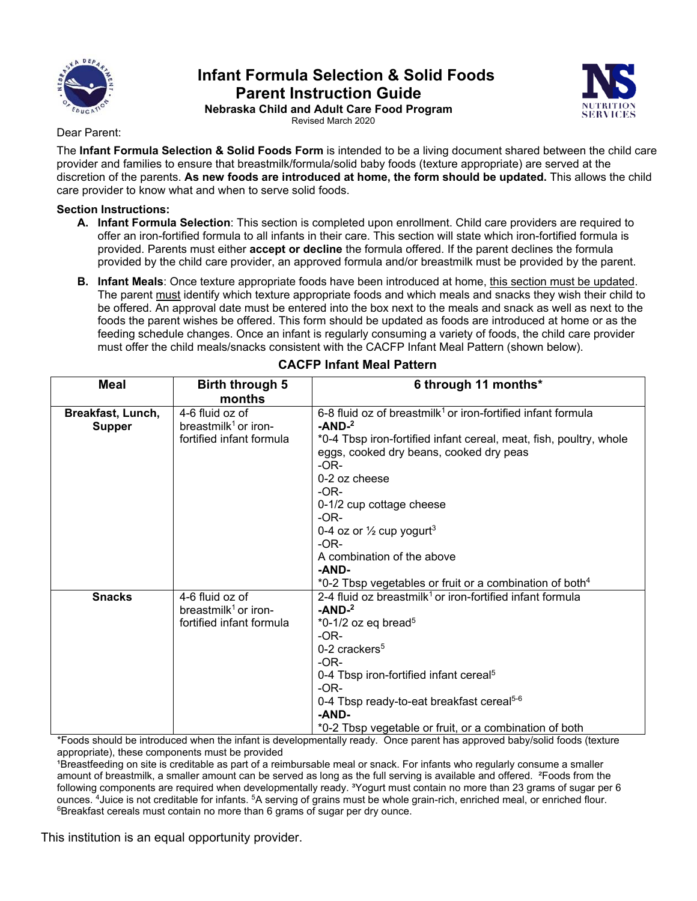

# **Infant Formula Selection & Solid Foods Parent Instruction Guide**



**Nebraska Child and Adult Care Food Program**  Revised March 2020

#### Dear Parent:

The **Infant Formula Selection & Solid Foods Form** is intended to be a living document shared between the child care provider and families to ensure that breastmilk/formula/solid baby foods (texture appropriate) are served at the discretion of the parents. **As new foods are introduced at home, the form should be updated.** This allows the child care provider to know what and when to serve solid foods.

### **Section Instructions:**

- **A. Infant Formula Selection**: This section is completed upon enrollment. Child care providers are required to offer an iron-fortified formula to all infants in their care. This section will state which iron-fortified formula is provided. Parents must either **accept or decline** the formula offered. If the parent declines the formula provided by the child care provider, an approved formula and/or breastmilk must be provided by the parent.
- **B. Infant Meals**: Once texture appropriate foods have been introduced at home, this section must be updated. The parent must identify which texture appropriate foods and which meals and snacks they wish their child to be offered. An approval date must be entered into the box next to the meals and snack as well as next to the foods the parent wishes be offered. This form should be updated as foods are introduced at home or as the feeding schedule changes. Once an infant is regularly consuming a variety of foods, the child care provider must offer the child meals/snacks consistent with the CACFP Infant Meal Pattern (shown below).

| <b>Meal</b>       | Birth through 5<br>months        | 6 through 11 months*                                                                                                                               |  |  |
|-------------------|----------------------------------|----------------------------------------------------------------------------------------------------------------------------------------------------|--|--|
| Breakfast, Lunch, | 4-6 fluid oz of                  | 6-8 fluid oz of breastmilk <sup>1</sup> or iron-fortified infant formula                                                                           |  |  |
| <b>Supper</b>     | breastmilk <sup>1</sup> or iron- | $-AND-2$                                                                                                                                           |  |  |
|                   | fortified infant formula         | *0-4 Tbsp iron-fortified infant cereal, meat, fish, poultry, whole<br>eggs, cooked dry beans, cooked dry peas<br>$-OR-$<br>0-2 oz cheese<br>$-OR-$ |  |  |
|                   |                                  | 0-1/2 cup cottage cheese<br>$-OR-$                                                                                                                 |  |  |
|                   |                                  | 0-4 oz or $\frac{1}{2}$ cup yogurt <sup>3</sup>                                                                                                    |  |  |
|                   |                                  | $-OR-$                                                                                                                                             |  |  |
|                   |                                  | A combination of the above                                                                                                                         |  |  |
|                   |                                  | -AND-                                                                                                                                              |  |  |
|                   |                                  | *0-2 Tbsp vegetables or fruit or a combination of both <sup>4</sup>                                                                                |  |  |
| <b>Snacks</b>     | 4-6 fluid oz of                  | 2-4 fluid oz breastmilk <sup>1</sup> or iron-fortified infant formula                                                                              |  |  |
|                   | breastmilk <sup>1</sup> or iron- | $-AND-2$                                                                                                                                           |  |  |
|                   | fortified infant formula         | $*0-1/2$ oz eq bread <sup>5</sup>                                                                                                                  |  |  |
|                   |                                  | $-OR-$                                                                                                                                             |  |  |
|                   |                                  | $0-2$ crackers <sup>5</sup>                                                                                                                        |  |  |
|                   |                                  | $-OR-$                                                                                                                                             |  |  |
|                   |                                  | 0-4 Tbsp iron-fortified infant cereal <sup>5</sup>                                                                                                 |  |  |
|                   |                                  | $-OR-$                                                                                                                                             |  |  |
|                   |                                  | 0-4 Tbsp ready-to-eat breakfast cereal <sup>5-6</sup>                                                                                              |  |  |
|                   |                                  | -AND-                                                                                                                                              |  |  |
|                   |                                  | *0-2 Tbsp vegetable or fruit, or a combination of both                                                                                             |  |  |

## **CACFP Infant Meal Pattern**

\*Foods should be introduced when the infant is developmentally ready. Once parent has approved baby/solid foods (texture appropriate), these components must be provided

<sup>1</sup>Breastfeeding on site is creditable as part of a reimbursable meal or snack. For infants who regularly consume a smaller amount of breastmilk, a smaller amount can be served as long as the full serving is available and offered. <sup>2</sup>Foods from the following components are required when developmentally ready. <sup>3</sup>Yogurt must contain no more than 23 grams of sugar per 6 ounces. <sup>4</sup>Juice is not creditable for infants. <sup>5</sup>A serving of grains must be whole grain-rich, enriched meal, or enriched flour.<br><sup>6</sup>Breakfast cereals must contain no more than 6 grams of sugar per dry ounce.

This institution is an equal opportunity provider.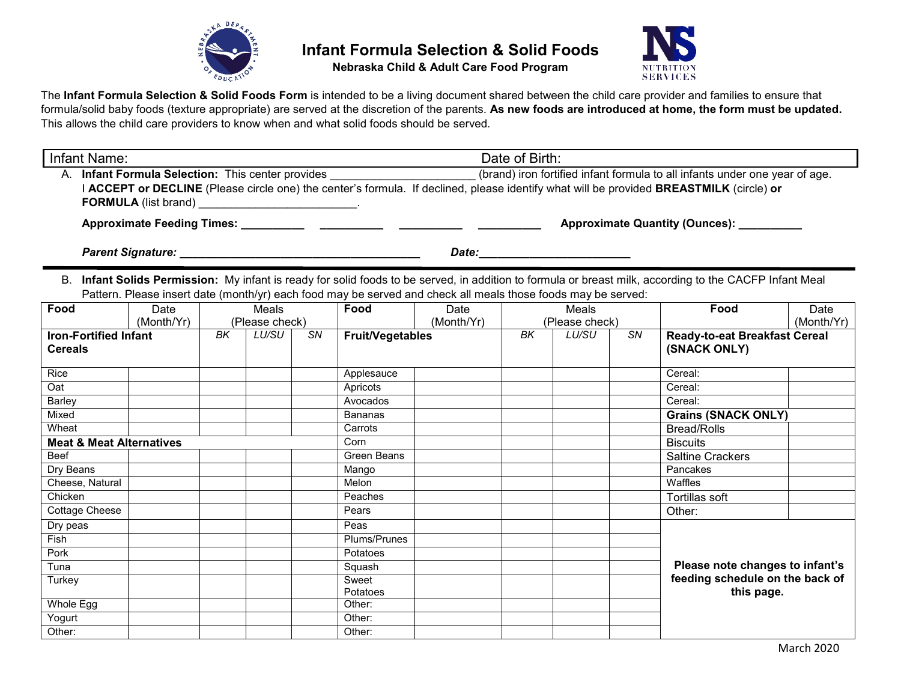

**Nebraska Child & Adult Care Food Program**



The **Infant Formula Selection & Solid Foods Form** is intended to be a living document shared between the child care provider and families to ensure that formula/solid baby foods (texture appropriate) are served at the discretion of the parents. **As new foods are introduced at home, the form must be updated.** This allows the child care providers to know when and what solid foods should be served.

| Infant Name:                                                                                                                            | Date of Birth:                                                              |
|-----------------------------------------------------------------------------------------------------------------------------------------|-----------------------------------------------------------------------------|
| A. Infant Formula Selection: This center provides                                                                                       | (brand) iron fortified infant formula to all infants under one year of age. |
| I ACCEPT or DECLINE (Please circle one) the center's formula. If declined, please identify what will be provided BREASTMILK (circle) or |                                                                             |
| <b>FORMULA</b> (list brand)                                                                                                             |                                                                             |
| <b>Approximate Feeding Times:</b>                                                                                                       | <b>Approximate Quantity (Ounces):</b>                                       |

*Parent Signature: \_\_\_\_\_\_\_\_\_\_\_\_\_\_\_\_\_\_\_\_\_\_\_\_\_\_\_\_\_\_\_\_\_\_\_\_\_\_ Date:\_\_\_\_\_\_\_\_\_\_\_\_\_\_\_\_\_\_\_\_\_\_\_\_*

B. **Infant Solids Permission:** My infant is ready for solid foods to be served, in addition to formula or breast milk, according to the CACFP Infant Meal Pattern. Please insert date (month/yr) each food may be served and check all meals those foods may be served:

| Food                                | Date       |    | Meals          |    | Food                    | Date       |    | Meals           |           | Food                                 | Date       |
|-------------------------------------|------------|----|----------------|----|-------------------------|------------|----|-----------------|-----------|--------------------------------------|------------|
|                                     | (Month/Yr) |    | (Please check) |    |                         | (Month/Yr) |    | (Please check)  |           |                                      | (Month/Yr) |
| <b>Iron-Fortified Infant</b>        |            | BK | <b>LU/SU</b>   | SN | <b>Fruit/Vegetables</b> |            | BK | LU/SU           | <b>SN</b> | <b>Ready-to-eat Breakfast Cereal</b> |            |
| <b>Cereals</b>                      |            |    |                |    |                         |            |    |                 |           | (SNACK ONLY)                         |            |
|                                     |            |    |                |    |                         |            |    |                 |           |                                      |            |
| Rice                                |            |    |                |    | Applesauce              |            |    |                 |           | Cereal:                              |            |
| Oat                                 |            |    |                |    | Apricots                |            |    |                 |           | Cereal:                              |            |
| Barley                              |            |    |                |    | Avocados                |            |    |                 |           | Cereal:                              |            |
| Mixed                               |            |    |                |    | <b>Bananas</b>          |            |    |                 |           | <b>Grains (SNACK ONLY)</b>           |            |
| Wheat                               |            |    |                |    | Carrots                 |            |    |                 |           | <b>Bread/Rolls</b>                   |            |
| <b>Meat &amp; Meat Alternatives</b> |            |    | Corn           |    |                         |            |    | <b>Biscuits</b> |           |                                      |            |
| Beef                                |            |    |                |    | Green Beans             |            |    |                 |           | <b>Saltine Crackers</b>              |            |
| Dry Beans                           |            |    |                |    | Mango                   |            |    |                 |           | Pancakes                             |            |
| Cheese, Natural                     |            |    |                |    | Melon                   |            |    |                 |           | Waffles                              |            |
| Chicken                             |            |    |                |    | Peaches                 |            |    |                 |           | Tortillas soft                       |            |
| Cottage Cheese                      |            |    |                |    | Pears                   |            |    |                 |           | Other:                               |            |
| Dry peas                            |            |    |                |    | Peas                    |            |    |                 |           |                                      |            |
| Fish                                |            |    |                |    | Plums/Prunes            |            |    |                 |           |                                      |            |
| Pork                                |            |    |                |    | Potatoes                |            |    |                 |           |                                      |            |
| Tuna                                |            |    |                |    | Squash                  |            |    |                 |           | Please note changes to infant's      |            |
| Turkey                              |            |    |                |    | Sweet                   |            |    |                 |           | feeding schedule on the back of      |            |
|                                     |            |    |                |    | Potatoes                |            |    |                 |           | this page.                           |            |
| Whole Egg                           |            |    |                |    | Other:                  |            |    |                 |           |                                      |            |
| Yogurt                              |            |    |                |    | Other:                  |            |    |                 |           |                                      |            |
| Other:                              |            |    |                |    | Other:                  |            |    |                 |           |                                      |            |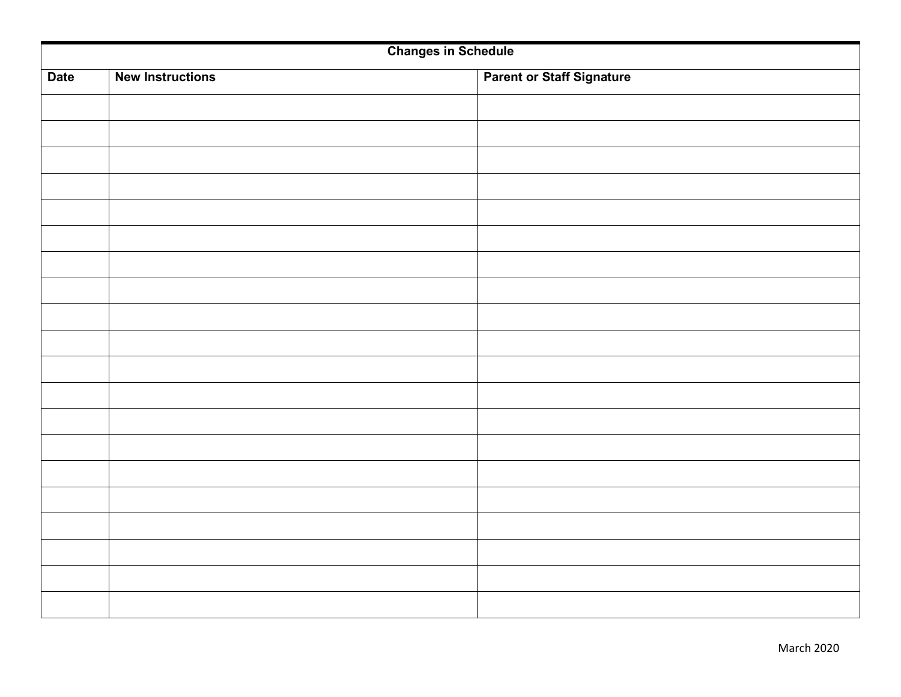| <b>Changes in Schedule</b> |                         |  |                                  |  |  |
|----------------------------|-------------------------|--|----------------------------------|--|--|
| <b>Date</b>                | <b>New Instructions</b> |  | <b>Parent or Staff Signature</b> |  |  |
|                            |                         |  |                                  |  |  |
|                            |                         |  |                                  |  |  |
|                            |                         |  |                                  |  |  |
|                            |                         |  |                                  |  |  |
|                            |                         |  |                                  |  |  |
|                            |                         |  |                                  |  |  |
|                            |                         |  |                                  |  |  |
|                            |                         |  |                                  |  |  |
|                            |                         |  |                                  |  |  |
|                            |                         |  |                                  |  |  |
|                            |                         |  |                                  |  |  |
|                            |                         |  |                                  |  |  |
|                            |                         |  |                                  |  |  |
|                            |                         |  |                                  |  |  |
|                            |                         |  |                                  |  |  |
|                            |                         |  |                                  |  |  |
|                            |                         |  |                                  |  |  |
|                            |                         |  |                                  |  |  |
|                            |                         |  |                                  |  |  |
|                            |                         |  |                                  |  |  |